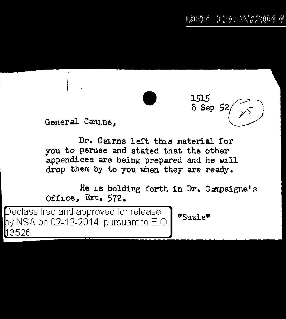1515

8 Sep 52

General Camine.

Dr. Cairns left this material for you to peruse and stated that the other appendices are being prepared and he will drop them by to you when they are ready.

He is holding forth in Dr. C ampaigne' s Office, Ext. 572.

Declassified and approved for release  $\sum_{\textbf{``Suzie''}}$ y NSA on 02-12-2014 pursuant to E.O. 3526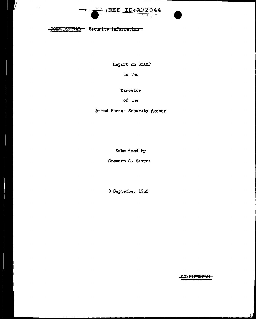



ц.

Report on SCAMP

to the

Director

of the

Armed Forces Security Agency

Submitted by

Stewart s. Cairns

8 September 1952

CONFIDBNTIAL

 $\prime$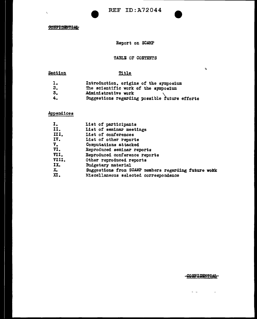$\bar{\chi}$ 

Report on SCAMP

## TABLE OF CONTENTS

# **Section**

# Title

|     | Introduction, origins of the symposium        |
|-----|-----------------------------------------------|
| 2.  | The scientific work of the symposium          |
| -3. | Administrative work                           |
| -4. | Suggestions regarding possible future efforts |

# Appendices

| I.            | List of participants                                 |
|---------------|------------------------------------------------------|
| II.           | List of seminar meetings                             |
| III.          | List of conferences                                  |
| IV.           | List of other reports                                |
| $V_{\bullet}$ | Computations attacked                                |
| VI.           | Reproduced seminar reports                           |
| VII.          | Reproduced conference reports                        |
| VIII.         | Other reproduced reports                             |
| IX.           | Budgetary material                                   |
| X.            | Suggestions from SCAMP members regarding future work |
| х.            | Miscellaneous selected correspondence                |

## CONFIDENTIAL

 $\pmb{\varphi}$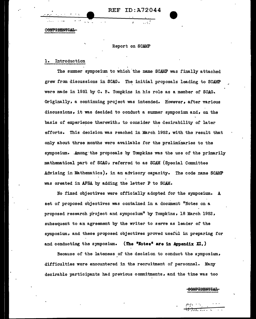REF ID:A72044

~··-~~, **.. \_\_\_\_\_\_\_\_** -\_.\_.~I--~~~.;\_:,\_~--

 $\cdot$   $\mathbb{C}$  .

CONFIDENTIAL

#### Report on SCAMP

## 1. Introduction

The summer symposium to which the name SCAMP was finally attached grew from discussions in SCAG. The initial proposals leading to SCAMP were made in 1951 by c. B. Tompkins in his role as a member of SCAG. Originally, a continuing project was intended. However, after various discussions, it was decided to conduct a swmner symposium and, on the basis of experience therewith, to consider the desirability of later efforts. This decision was reached in March 1952, with the result that only about three months were available for the preliminaries to the symposium. Among the proposals by Tompkins was the use of the primarily mathematical part of SCAG; referred to as SCAM (Special Committee Advising in Mathematics), in an advisory capacity. The code name SCAMP was created in AFSA by adding the letter P to SCAM.

No fixed objectives were officially adopted for the symposium. A set of proposed objectives was contained in a document "Notes on a proposed research project and symposium" by Tompkins, 18 March 1952, subsequent to an agreement by the writer to serve as leader of the symposium, and these proposed objectives proved useful in preparing for and conducting the symposium. (The **\*Notes\*** are in Appendix XI.)

Because of the lateness \_of the decision to conduct the symposium, difficulties were encountered in the recruitment of personnel. Many desirable participants had previous commitments, and the time was too

<del>JONPIDBNTIAL</del>

 $\mathbb{P}^{(n+1)}$  .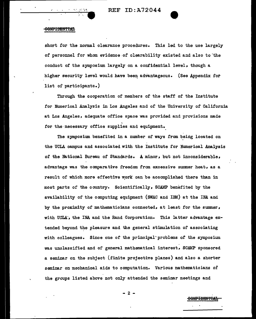## 00NP<del>IDENTIAL</del>

, .

short for the normal clearance procedures. This led to the use largely of personnel for whom evidence-of clearability existed and also to'the conduct of the symposium largely on a confidential level, though a higher security level would have been advantageous. (See Appendix for list of participants.)

Through the cooperation of members of the staff of the Institute for Numerical Analysis in Los Angeles and of the University of California at Los Angeles, adequate office space was provided and provisions made for the necessary office supplies and equipment.

The symposium benefited in a number of ways from being located on the UCLA campus and associated with the Institute for Numerical Analysis of the National Bureau of Standards. A minor, but not inconsiderable, advantage was the comparative freedom from excessive summer heat, as a result of which more effective work can be accomplished there than in most parts of the country. Scientifically, SCAMP benefited by the availability of the computing equipment (SWAC and IBM) at the INA and by the proximity of mathematicians connected, at least for the summer, with UCLA', the INA and the Rand Corporation. This latter advantage extended beyond the pleasure and the general stimulation of associating with colleagues. Since one of the principal~problems of the symposium was unclassified and of general mathematical interest, SCAMP sponsored a seminar on the subject (finite projective planes) and also a shorter seminar on mechanical aids to computation. Various mathematicians *of*  the groups listed above not only attended the seminar meetings and

- 2 -

<del>CONFIDENTIA</del>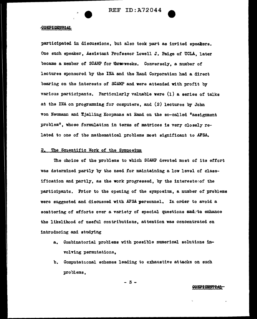

participated in discussions, but also took part as invited speakers. One such speaker, Assistant Professor Lowell J. Paige of UCLA, later became a member *of* SCAMP for threeweeks. Conversely, a number of lectures sponsored by the INA and the Rand Corporation had a direct bearing on the interests of SCAMP and were attended with profit by various participants. Particularly valuable were (1) a series of talks at the INA on programming for computers, and (2) lectures by John von Neumann and Tjalling Koopmans at Rand on the so-called "assignment problem", whose formulation in terms of matrices is very closely related to one of the mathematical problems most significant to AFSA.

## 2. The Scientific Work of the Symposium

The choice of the problems to which SCAMP devoted most of its effort was determined partly by the need for maintaining a low level of classification and partly, as the work progressed, by the interests $o$ of the participants. Prior to the opening of the symposium, a number of problems were suggested and discussed with AFSA personnel. In order to avoid a scattering of efforts over a variety of special questions and to enhance the likelihood of useful contributions, attention was concentrated on introducing and studying

- a. Combinatorial problems with possible numerical. solutions involving permutations,
- b. Computational schemes leading to emaustive attacks on such problems,

- 3 -

### <del>CONFIDENTIAL</del>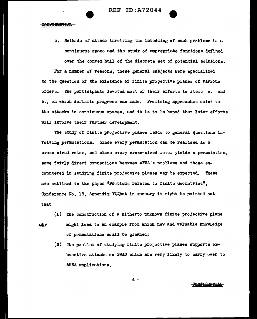c. Methods of attack involving the imbedding of such problems in a continuous space and the study *ot* appropriate functions defined over the convex hull of the discrete set of potential solutions.

For a number of reasons, these general subjects were specialized to the question of the existence of finite projective planes of various orders. The participants devoted most of their efforts to items a. and b., on which definite progress was made. Promising approaches exist to the attacks in continuous spaces, and it is to be hoped that later efforts ' will involve their further development.

The study of finite projective planes leads to general questions invalving permutations. Since every permutation can be realized as a cross-wired rotor, and since every cross-wired rotor yields a permutation, some fairly direct connections between AFSA's problems and those encountered in studying finite projective planes may be expected. These are outlined in the paper "Problems related to finite Geometries", Conference No. 18, Appendix  $\overline{\text{N}}$ tibut in summary it might be pointed out that

- (1) The construction of a hitherto unknown finite projective plane way alght lead to an example from which new and valuable knowledge of permutations could be gleaned;
	- $(2)$  The problem of studying finite projective planes supports exhaustive attacks on SWAO which are very likely- to carry over to .AFSA applications.

 $-4$ 

### **CONFIDENTIAL**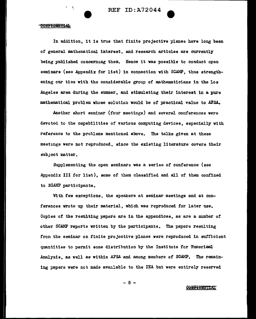In addition, it is true that finite projective planes have long been of general mathematical. interest, and research articles are currently being published concerning them. Hence it was possible to conduct open seminars (see Appendix for list) in connection with SCAMP, thus strengthening our ties with the considerable group of mathematicians in the Los .Angeles area during the summer, and stimulating their interest in a pure mathematical problem whose solution would be of practical value to AFSA.

Another short seminar (four meetings) and several conferences were devoted to the capabilities of various computing devices, especially with reference to the problems mentioned above. The talks given at these meetings were not reproduced, since the existing literature covers their eubJect matter.

Supplementing the open seminars was a series of conference (see Appendix III for list), some of them classified and all of them confined to SCAMP participants.

With few exceptions, the speakers at seminar meetings and at conferences wrote up their material, which was reproduced for later use. Copies of the resulting papers are in the appendices, as are a number of other SC.AMP reports written by the participants. The papers resulting from the seminar on finite projective planes were reproduced in sufficient quantities to permit some distribution by the Institute for NumericeJ. .Analysis, as well as within AFSA and smong members of SCAMP. The remaining papers were not made available to the INA but were entirely reserved

- 5 -

**CONFIDENTIAT**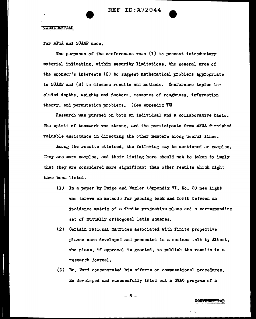for AFSA and SCAMP uses.

----------------------- -

The purposes of the conferences were (l) to present introductory material indicating, within security limitations, the general area of the sponsor's interests  $(2)$  to suggest mathematical problems appropriate to SCAMP and (3) to discuss results and methods. Conference topics included depths, weights and factors, measures of roughness, information theory, and permutation problems. (See Appendix  $\mathbf{Y}$ )

Research was pursued on both an individual and a collaborative basis. The spirit of teamwork was strong, and the participants from AFSA furnished valuable assistance in directing the other members along useful lines.

.Among the results obtained, the following may be mentioned as samples. They are mere samples, and their listing here should not be taken to imply that they are considered more significant than other results which might have been listed.

- (1) In a paper by Paige and Wexler (Appendix VI, No. 2) new light was thrown on methods for passing back and forth between an incidence matrix of a finite projective plane and a corresponding set of mutually orthogonal latin squares.
- $(2)$  Certain rational matrices associated with finite projective planes were developed and presented in a seminar talk by Albert, who plans, if approval is granted, to publish the results in a research journal.
- (3) Dr. Ward concentrated his efforts on computationaJ. procedures. Ee developed and successfully tried out a *SWM* program of a

## $- 6 -$

### <del>CONTIUNTIAL</del>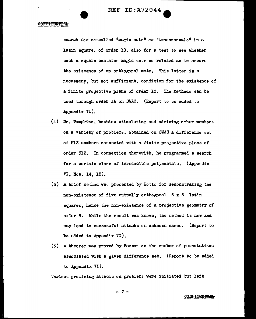REF ID: A72044

## **CONFIDENTIAL**

search for so-called <sup>@</sup>magic sets" or "transversals" in a latin square. of order 10, also for a test to see whether such a square contains magic sets so related as to assure the existence of an orthogonal mate. This latter is a necessary, but not sufficient, condition for the existence of a finite projective plane of order 10. The methods can be used through order 12 on SWAC. (Report to be added to .Appendix VI).

- (4) Dr. Tompkins, besides stimulating and advising other members on a variety of problems, obtained on SWAC a difference set of 513 numbers connected with a finite projective plane of order 512. In connection therewith, he programmed a search for a certain class of irreducible polynomials. (Appendix VI, Nos. 14, 15).
- $(5)$  A brief method was presented by Botts for demonstrating the non-existence of five mutually orthogonal 6 x 6 latin squares, hence the non-existence of a projective geometry of order 6. While the result was known, the method is new and may lead to successful attacks on unknown cases. (Report to be added to Appendix  $VI$ ).
- $(6)$  A theorem was proved by Hanson on the number of permutations associated with a given difference set. (Report to be added to Appendix  $VI$ ).

Various promising attacks on problems were initiated but left

- 7 -

CONFIDENTIAL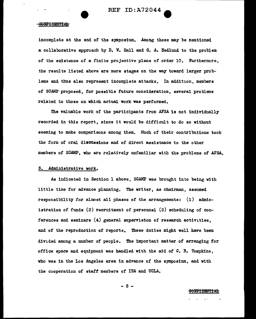incomplete at the end of the symposium. Among these may be mentioned a collaborative approach by D. W. Hall end G. A. Hedlund to the problem of the existence of a finite projective plane of order 10. Furthermore, the results listed above are mere stages on the way toward larger problems and thus also represent incomplete attacks. In addition, members of SC.AMP proposed, for possible future consideration, several problems related to those on which actual work was performed.

The valuable work of the participants from AFSA is not individually recorded in this report, since it would be difficult to do so without seeming to make comparisons among them. Much of their contributions took the form of oral disquasions and of direct assistance to the other members of SCAMP, who are relatively unfamiliar with the problems of AFSA.

## 3. Administrative work.

As indicated in Section 1 above. SCAMP was brought into being with little time for advance planning. The writer, as chairman, assumed responsibility for almost all phases of the arrangements: (1) administration of funds (2) recruitment of personnel (3) scheduling of conferences and seminars (4) general supervision of research activities, and of the reproduction of reports. These duties might well have been divided among a number of people. The important matter of arranging for office space and equipment was handled with the aid of  $C$ . B. Tompkins, who was in the Los Angeles area in advance of the symposium, and with the cooperation of staff members of INA and UCLA.

 $- 8 -$ 

<del>CONTIDENTIAL</del>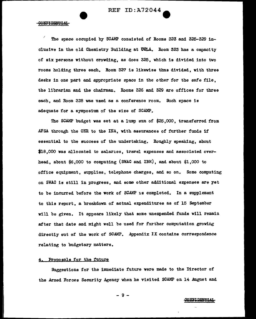I The space occupied by SCAMP consisted of Rooms 323 and 325-329 inclusive in the old Chemistry Building at  $UCLL$ . Room 323 has a capacity of six persons without crovding, as does 325, which is divided into two rooms holding three each. Room 327 is likewise thus divided, with three desks in one part and appropriate space in the other for the safe file. the librarian and the chairman. Rooms 326 and 329 are offices for three each, and Room 328 was used as a conference room. Such space is adequate for a eymposiwn of the size of SCAMP.

The SCAMP budget was set at a lump sum of \$25,000, transferred from AFSA through the ONR to the INA, with assurances of further funds if essential to the success of the undertaking. Roughly speaking, about  $$18,000$  was allocated to salaries, travel expenses and associated overhead, about \$6,000 to computing (SWAC and IBM), and about \$1,000 to office equipment, supplies, telephone charges, and so on. Some computing on SWAC is still in progress, and some other additional expenses are yet to be incurred before the work of SCAMP is completed. In a supplement to this report, a breakdown of actual expenditures as of 15 September will be given. It appears likely that some unexpended funds will remain after that date and might well be used for further computation growing directly out of the work of SCAMP. Appendix IX contains correspondence relating to budgetary matters.

## 4. Proposals for the future

Suggestions for the immediate future were made to the Director of the Armed Forces Security Agency when he visited SCAMP on 14 August and

- 9 -

#### CONFI DENTIAL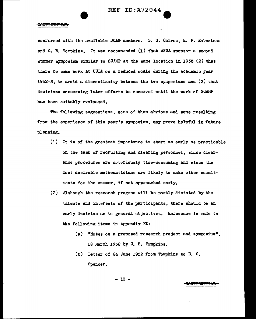conferred with the available SCAG members. s. s. Cairns, B. P. Robertson and  $C.$  B. Tompkins. It was recommended  $(1)$  that AFSA sponsor a second summer symposium similar to SCAMP at the same location in 1953 (2) that there be some work at UCLA on a reduced scale during the academic year 1952-3, to avoid a discontinuity between the two symposiums and  $(3)$  that decisions concerning later efforts be reserved until the work of SCAMP has been suitably evaluated.

The following suggestions, some of them abvious and some resulting from the experience of this year's symposium, may prove helpful in future planning.

- (1) It is of the greatest importance to start as early as practicable on the task of recruiting and clearing personnel, since clearance procedures are notoriously time-consuming and since the most desirable mathematicians are likely to make other commitments for the summer, if not approached early.
- $(2)$  . Although the research program will be partly dictated by the talents and mterests of the participants, there should be an early decision as to general objectives. Reference is made to the following items in Appendix  $XI:$ 
	- (a) "Notes on a proposed research project and symposium". 18 March 1952 by c. B. Tompkins.
	- (b) Letter of 24 June 1952 from Tompkins to D. c. Spencer.

$$
- 10 -
$$

### **CONFIDENTIAL**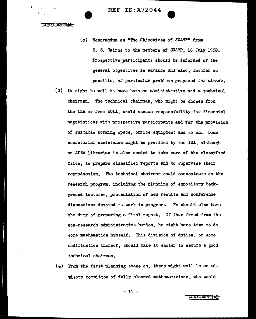REF ID:A72044

**CONTIDENTIAL** 

- (c) Memorandum on "The Objectives of SCAMP" from S. S. Cairns to the members of SCAMP. 16 July 1952. Prospective participants should be informed of the general obJectives in advance and also, insofar as possible, of particular problems proposed for attack.
- (3) It might be well to have both an administrative and a technical chairman. The technical chairman, who might be chosen from the INA or from UCLA, would assume responsibility for financial negotiations with prospective participants and for the provision of suitable working space, office equipment and so on. Some secretarial assistance might be provided by the INA, al though an AFSA librarian is also needed to take care of the classified files, to prepare classified reports and to supervise their reproduction. The technical chairman could concentrate on the research program, including the planning of expository background lectures, presentation of new results and conference discussions devoted to work in progress. He should also have the duty of preparing a final report. If thus freed from the non-research administrative burden, he might have time to do some mathematics himself. This division of duties, or some modification thereof, should make it easier to secure a good technical chairman.
- (4) From the first planning stage on, there might well be an ad- ¥isory committee of fully cleared mathematicians, who would

- 11 -

### **CNIIDENTIAL**